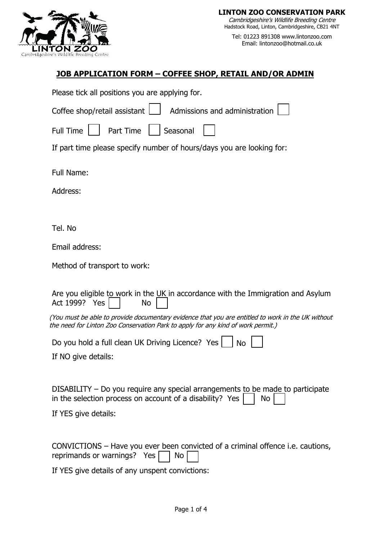

Tel: 01223 891308 www.lintonzoo.com Email: lintonzoo@hotmail.co.uk

## **JOB APPLICATION FORM – COFFEE SHOP, RETAIL AND/OR ADMIN**

Please tick all positions you are applying for.

Coffee shop/retail assistant  $\Box$  Admissions and administration

Full Time  $\vert \vert$  Part Time  $\vert \vert$  Seasonal

If part time please specify number of hours/days you are looking for:

Full Name:

Address:

Tel. No

Email address:

Method of transport to work:

Are you eligible to work in the  $UK$  in accordance with the Immigration and Asylum Act 1999? Yes | No

(You must be able to provide documentary evidence that you are entitled to work in the UK without the need for Linton Zoo Conservation Park to apply for any kind of work permit.)

Do you hold a full clean UK Driving Licence? Yes  $\Box$  No

If NO give details:

DISABILITY – Do you require any special arrangements to be made to participate in the selection process on account of a disability? Yes  $\parallel$  No

If YES give details:

CONVICTIONS – Have you ever been convicted of a criminal offence i.e. cautions, reprimands or warnings? Yes  $\Box$  No

If YES give details of any unspent convictions: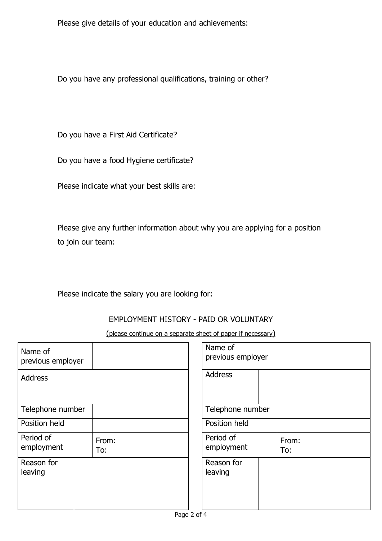Please give details of your education and achievements:

Do you have any professional qualifications, training or other?

Do you have a First Aid Certificate?

Do you have a food Hygiene certificate?

Please indicate what your best skills are:

Please give any further information about why you are applying for a position to join our team:

## Please indicate the salary you are looking for:

### EMPLOYMENT HISTORY - PAID OR VOLUNTARY

(please continue on a separate sheet of paper if necessary)

| Name of<br>previous employer |              | Name of<br>previous employer |              |
|------------------------------|--------------|------------------------------|--------------|
| <b>Address</b>               |              | <b>Address</b>               |              |
| Telephone number             |              | Telephone number             |              |
| Position held                |              | Position held                |              |
| Period of<br>employment      | From:<br>To: | Period of<br>employment      | From:<br>To: |
| Reason for<br>leaving        |              | Reason for<br>leaving        |              |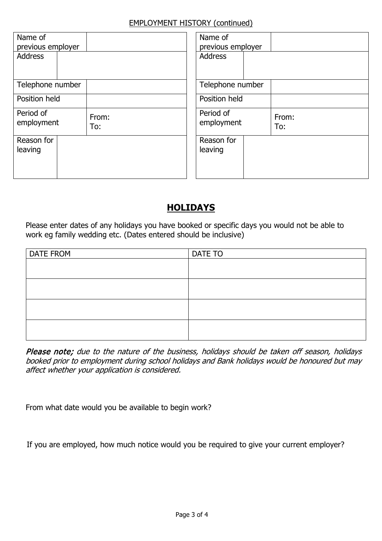### EMPLOYMENT HISTORY (continued)

| Name of<br>previous employer |              | Name of<br>previous employer |              |
|------------------------------|--------------|------------------------------|--------------|
| <b>Address</b>               |              | <b>Address</b>               |              |
| Telephone number             |              | Telephone number             |              |
| Position held                |              | Position held                |              |
| Period of<br>employment      | From:<br>To: | Period of<br>employment      | From:<br>To: |
| Reason for<br>leaving        |              | Reason for<br>leaving        |              |

# **HOLIDAYS**

Please enter dates of any holidays you have booked or specific days you would not be able to work eg family wedding etc. (Dates entered should be inclusive)

| <b>DATE FROM</b> | DATE TO |
|------------------|---------|
|                  |         |
|                  |         |
|                  |         |
|                  |         |
|                  |         |
|                  |         |
|                  |         |
|                  |         |

Please note; due to the nature of the business, holidays should be taken off season, holidays booked prior to employment during school holidays and Bank holidays would be honoured but may affect whether your application is considered.

From what date would you be available to begin work?

If you are employed, how much notice would you be required to give your current employer?